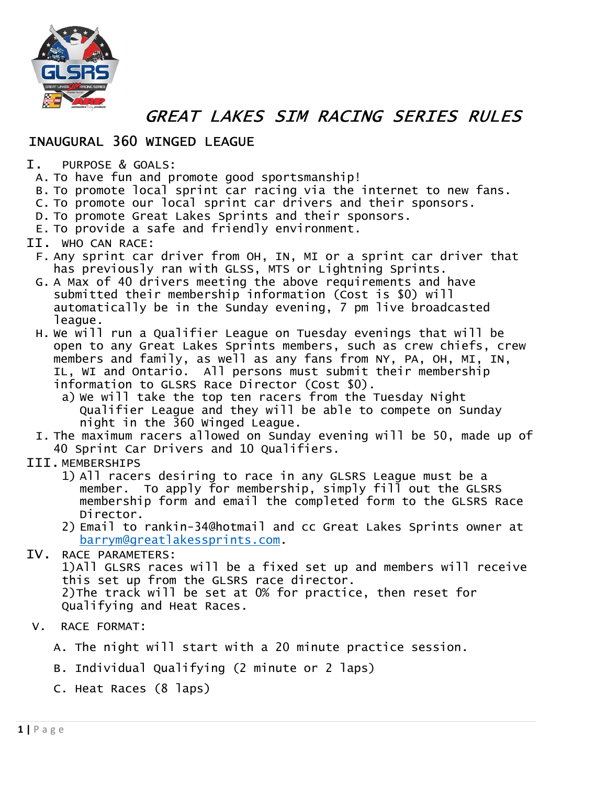

GREAT LAKES SIM RACING SERIES RULES

## INAUGURAL 360 WINGED LEAGUE

- I. PURPOSE & GOALS:
	- A. To have fun and promote good sportsmanship!
	- B. To promote local sprint car racing via the internet to new fans.
	- C. To promote our local sprint car drivers and their sponsors.
	- D. To promote Great Lakes Sprints and their sponsors.
	- E. To provide a safe and friendly environment.

## II. WHO CAN RACE:

- F. Any sprint car driver from OH, IN, MI or a sprint car driver that has previously ran with GLSS, MTS or Lightning Sprints.
- G. A Max of 40 drivers meeting the above requirements and have submitted their membership information (Cost is \$0) will automatically be in the Sunday evening, 7 pm live broadcasted league.
- H. We will run a Qualifier League on Tuesday evenings that will be open to any Great Lakes Sprints members, such as crew chiefs, crew members and family, as well as any fans from NY, PA, OH, MI, IN, IL, WI and Ontario. All persons must submit their membership information to GLSRS Race Director (Cost \$0).
	- a) We will take the top ten racers from the Tuesday Night Qualifier League and they will be able to compete on Sunday night in the 360 Winged League.
- I. The maximum racers allowed on Sunday evening will be 50, made up of 40 Sprint Car Drivers and 10 Qualifiers.
- III. MEMBERSHIPS
	- 1) All racers desiring to race in any GLSRS League must be a member. To apply for membership, simply fill out the GLSRS membership form and email the completed form to the GLSRS Race Director.
	- 2) Email to rankin-34@hotmail and cc Great Lakes Sprints owner at barrym@greatlakessprints.com.
- IV. RACE PARAMETERS:

1)All GLSRS races will be a fixed set up and members will receive this set up from the GLSRS race director. 2)The track will be set at 0% for practice, then reset for Qualifying and Heat Races.

- V. RACE FORMAT:
	- A. The night will start with a 20 minute practice session.
	- B. Individual Qualifying (2 minute or 2 laps)
	- C. Heat Races (8 laps)